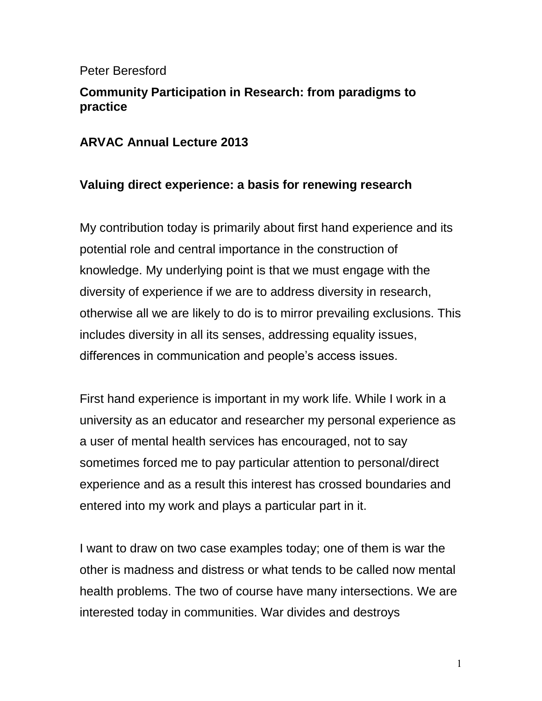### Peter Beresford

# **Community Participation in Research: from paradigms to practice**

## **ARVAC Annual Lecture 2013**

# **Valuing direct experience: a basis for renewing research**

My contribution today is primarily about first hand experience and its potential role and central importance in the construction of knowledge. My underlying point is that we must engage with the diversity of experience if we are to address diversity in research, otherwise all we are likely to do is to mirror prevailing exclusions. This includes diversity in all its senses, addressing equality issues, differences in communication and people's access issues.

First hand experience is important in my work life. While I work in a university as an educator and researcher my personal experience as a user of mental health services has encouraged, not to say sometimes forced me to pay particular attention to personal/direct experience and as a result this interest has crossed boundaries and entered into my work and plays a particular part in it.

I want to draw on two case examples today; one of them is war the other is madness and distress or what tends to be called now mental health problems. The two of course have many intersections. We are interested today in communities. War divides and destroys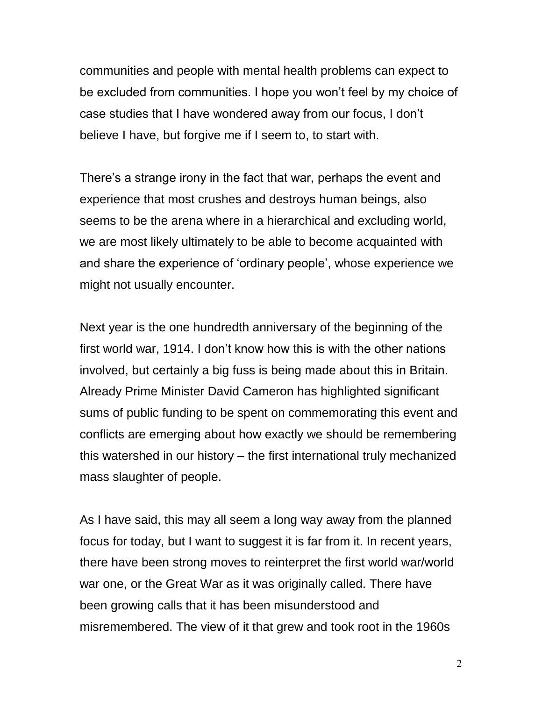communities and people with mental health problems can expect to be excluded from communities. I hope you won't feel by my choice of case studies that I have wondered away from our focus, I don't believe I have, but forgive me if I seem to, to start with.

There's a strange irony in the fact that war, perhaps the event and experience that most crushes and destroys human beings, also seems to be the arena where in a hierarchical and excluding world, we are most likely ultimately to be able to become acquainted with and share the experience of 'ordinary people', whose experience we might not usually encounter.

Next year is the one hundredth anniversary of the beginning of the first world war, 1914. I don't know how this is with the other nations involved, but certainly a big fuss is being made about this in Britain. Already Prime Minister David Cameron has highlighted significant sums of public funding to be spent on commemorating this event and conflicts are emerging about how exactly we should be remembering this watershed in our history – the first international truly mechanized mass slaughter of people.

As I have said, this may all seem a long way away from the planned focus for today, but I want to suggest it is far from it. In recent years, there have been strong moves to reinterpret the first world war/world war one, or the Great War as it was originally called. There have been growing calls that it has been misunderstood and misremembered. The view of it that grew and took root in the 1960s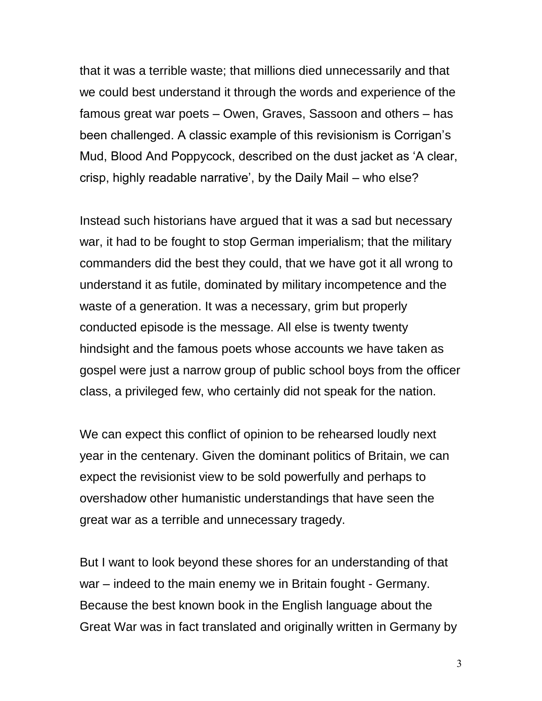that it was a terrible waste; that millions died unnecessarily and that we could best understand it through the words and experience of the famous great war poets – Owen, Graves, Sassoon and others – has been challenged. A classic example of this revisionism is Corrigan's Mud, Blood And Poppycock, described on the dust jacket as 'A clear, crisp, highly readable narrative', by the Daily Mail – who else?

Instead such historians have argued that it was a sad but necessary war, it had to be fought to stop German imperialism; that the military commanders did the best they could, that we have got it all wrong to understand it as futile, dominated by military incompetence and the waste of a generation. It was a necessary, grim but properly conducted episode is the message. All else is twenty twenty hindsight and the famous poets whose accounts we have taken as gospel were just a narrow group of public school boys from the officer class, a privileged few, who certainly did not speak for the nation.

We can expect this conflict of opinion to be rehearsed loudly next year in the centenary. Given the dominant politics of Britain, we can expect the revisionist view to be sold powerfully and perhaps to overshadow other humanistic understandings that have seen the great war as a terrible and unnecessary tragedy.

But I want to look beyond these shores for an understanding of that war – indeed to the main enemy we in Britain fought - Germany. Because the best known book in the English language about the Great War was in fact translated and originally written in Germany by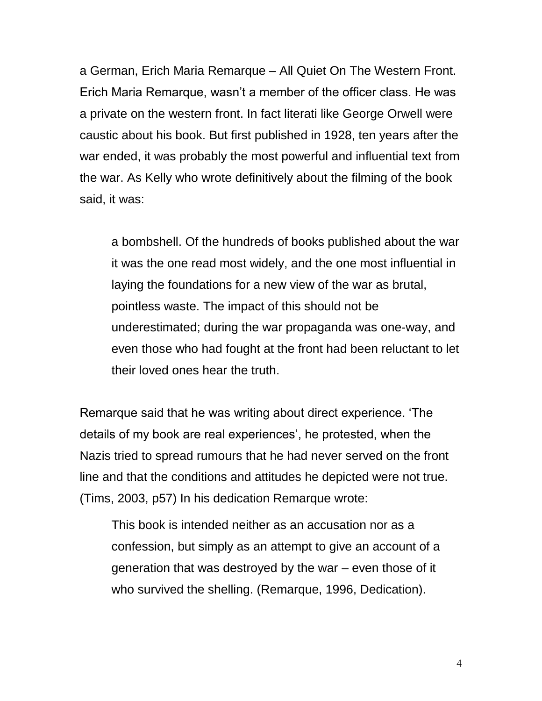a German, Erich Maria Remarque – All Quiet On The Western Front. Erich Maria Remarque, wasn't a member of the officer class. He was a private on the western front. In fact literati like George Orwell were caustic about his book. But first published in 1928, ten years after the war ended, it was probably the most powerful and influential text from the war. As Kelly who wrote definitively about the filming of the book said, it was:

a bombshell. Of the hundreds of books published about the war it was the one read most widely, and the one most influential in laying the foundations for a new view of the war as brutal, pointless waste. The impact of this should not be underestimated; during the war propaganda was one-way, and even those who had fought at the front had been reluctant to let their loved ones hear the truth.

Remarque said that he was writing about direct experience. 'The details of my book are real experiences', he protested, when the Nazis tried to spread rumours that he had never served on the front line and that the conditions and attitudes he depicted were not true. (Tims, 2003, p57) In his dedication Remarque wrote:

This book is intended neither as an accusation nor as a confession, but simply as an attempt to give an account of a generation that was destroyed by the war – even those of it who survived the shelling. (Remarque, 1996, Dedication).

4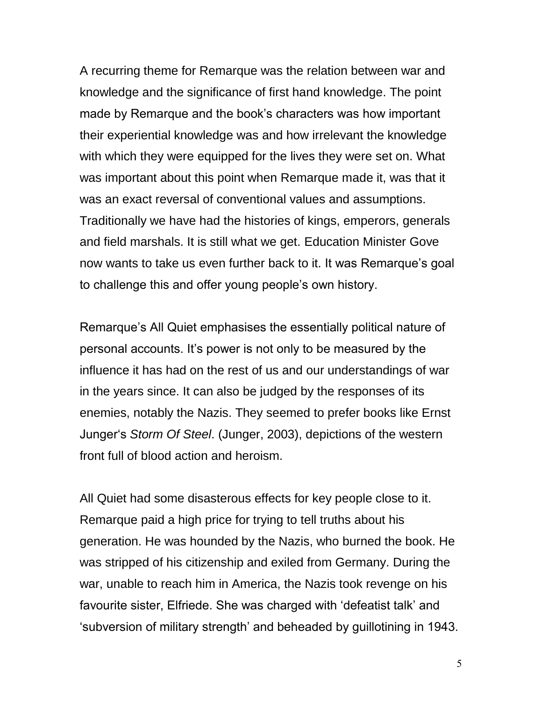A recurring theme for Remarque was the relation between war and knowledge and the significance of first hand knowledge. The point made by Remarque and the book's characters was how important their experiential knowledge was and how irrelevant the knowledge with which they were equipped for the lives they were set on. What was important about this point when Remarque made it, was that it was an exact reversal of conventional values and assumptions. Traditionally we have had the histories of kings, emperors, generals and field marshals. It is still what we get. Education Minister Gove now wants to take us even further back to it. It was Remarque's goal to challenge this and offer young people's own history.

Remarque's All Quiet emphasises the essentially political nature of personal accounts. It's power is not only to be measured by the influence it has had on the rest of us and our understandings of war in the years since. It can also be judged by the responses of its enemies, notably the Nazis. They seemed to prefer books like Ernst Junger's *Storm Of Steel*. (Junger, 2003), depictions of the western front full of blood action and heroism.

All Quiet had some disasterous effects for key people close to it. Remarque paid a high price for trying to tell truths about his generation. He was hounded by the Nazis, who burned the book. He was stripped of his citizenship and exiled from Germany. During the war, unable to reach him in America, the Nazis took revenge on his favourite sister, Elfriede. She was charged with 'defeatist talk' and 'subversion of military strength' and beheaded by guillotining in 1943.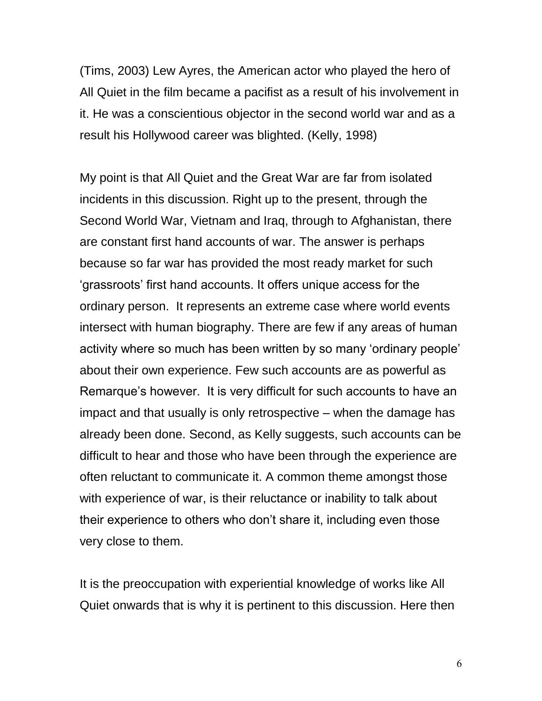(Tims, 2003) Lew Ayres, the American actor who played the hero of All Quiet in the film became a pacifist as a result of his involvement in it. He was a conscientious objector in the second world war and as a result his Hollywood career was blighted. (Kelly, 1998)

My point is that All Quiet and the Great War are far from isolated incidents in this discussion. Right up to the present, through the Second World War, Vietnam and Iraq, through to Afghanistan, there are constant first hand accounts of war. The answer is perhaps because so far war has provided the most ready market for such 'grassroots' first hand accounts. It offers unique access for the ordinary person. It represents an extreme case where world events intersect with human biography. There are few if any areas of human activity where so much has been written by so many 'ordinary people' about their own experience. Few such accounts are as powerful as Remarque's however. It is very difficult for such accounts to have an impact and that usually is only retrospective – when the damage has already been done. Second, as Kelly suggests, such accounts can be difficult to hear and those who have been through the experience are often reluctant to communicate it. A common theme amongst those with experience of war, is their reluctance or inability to talk about their experience to others who don't share it, including even those very close to them.

It is the preoccupation with experiential knowledge of works like All Quiet onwards that is why it is pertinent to this discussion. Here then

6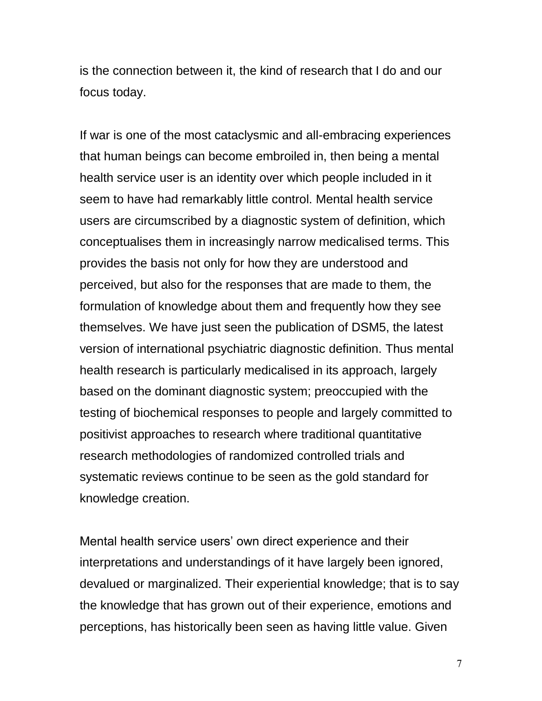is the connection between it, the kind of research that I do and our focus today.

If war is one of the most cataclysmic and all-embracing experiences that human beings can become embroiled in, then being a mental health service user is an identity over which people included in it seem to have had remarkably little control. Mental health service users are circumscribed by a diagnostic system of definition, which conceptualises them in increasingly narrow medicalised terms. This provides the basis not only for how they are understood and perceived, but also for the responses that are made to them, the formulation of knowledge about them and frequently how they see themselves. We have just seen the publication of DSM5, the latest version of international psychiatric diagnostic definition. Thus mental health research is particularly medicalised in its approach, largely based on the dominant diagnostic system; preoccupied with the testing of biochemical responses to people and largely committed to positivist approaches to research where traditional quantitative research methodologies of randomized controlled trials and systematic reviews continue to be seen as the gold standard for knowledge creation.

Mental health service users' own direct experience and their interpretations and understandings of it have largely been ignored, devalued or marginalized. Their experiential knowledge; that is to say the knowledge that has grown out of their experience, emotions and perceptions, has historically been seen as having little value. Given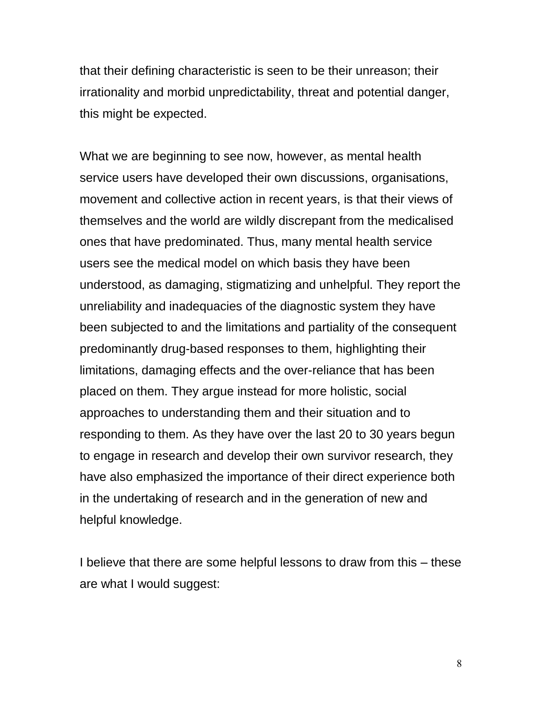that their defining characteristic is seen to be their unreason; their irrationality and morbid unpredictability, threat and potential danger, this might be expected.

What we are beginning to see now, however, as mental health service users have developed their own discussions, organisations, movement and collective action in recent years, is that their views of themselves and the world are wildly discrepant from the medicalised ones that have predominated. Thus, many mental health service users see the medical model on which basis they have been understood, as damaging, stigmatizing and unhelpful. They report the unreliability and inadequacies of the diagnostic system they have been subjected to and the limitations and partiality of the consequent predominantly drug-based responses to them, highlighting their limitations, damaging effects and the over-reliance that has been placed on them. They argue instead for more holistic, social approaches to understanding them and their situation and to responding to them. As they have over the last 20 to 30 years begun to engage in research and develop their own survivor research, they have also emphasized the importance of their direct experience both in the undertaking of research and in the generation of new and helpful knowledge.

I believe that there are some helpful lessons to draw from this – these are what I would suggest: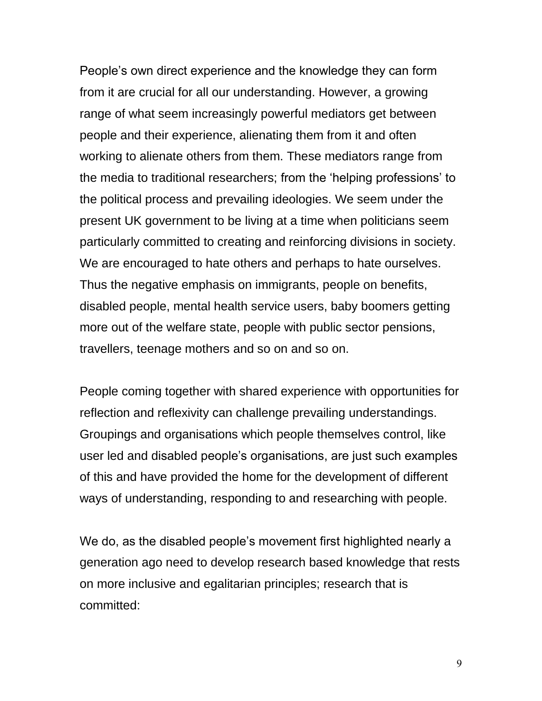People's own direct experience and the knowledge they can form from it are crucial for all our understanding. However, a growing range of what seem increasingly powerful mediators get between people and their experience, alienating them from it and often working to alienate others from them. These mediators range from the media to traditional researchers; from the 'helping professions' to the political process and prevailing ideologies. We seem under the present UK government to be living at a time when politicians seem particularly committed to creating and reinforcing divisions in society. We are encouraged to hate others and perhaps to hate ourselves. Thus the negative emphasis on immigrants, people on benefits, disabled people, mental health service users, baby boomers getting more out of the welfare state, people with public sector pensions, travellers, teenage mothers and so on and so on.

People coming together with shared experience with opportunities for reflection and reflexivity can challenge prevailing understandings. Groupings and organisations which people themselves control, like user led and disabled people's organisations, are just such examples of this and have provided the home for the development of different ways of understanding, responding to and researching with people.

We do, as the disabled people's movement first highlighted nearly a generation ago need to develop research based knowledge that rests on more inclusive and egalitarian principles; research that is committed: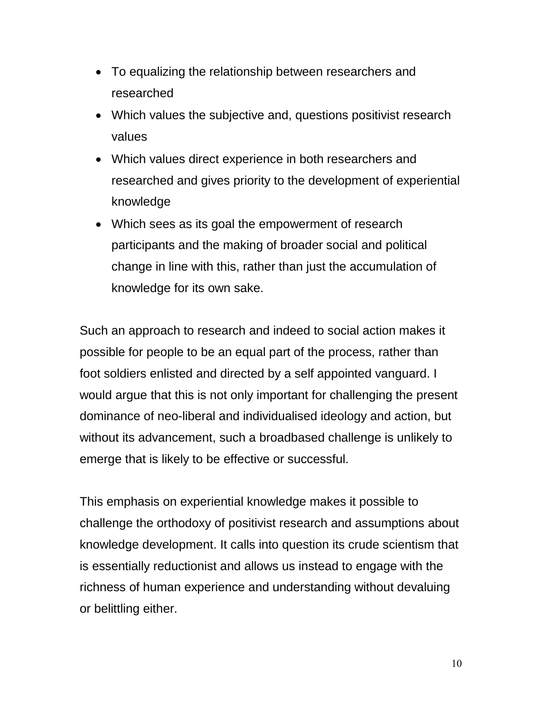- To equalizing the relationship between researchers and researched
- Which values the subjective and, questions positivist research values
- Which values direct experience in both researchers and researched and gives priority to the development of experiential knowledge
- Which sees as its goal the empowerment of research participants and the making of broader social and political change in line with this, rather than just the accumulation of knowledge for its own sake.

Such an approach to research and indeed to social action makes it possible for people to be an equal part of the process, rather than foot soldiers enlisted and directed by a self appointed vanguard. I would argue that this is not only important for challenging the present dominance of neo-liberal and individualised ideology and action, but without its advancement, such a broadbased challenge is unlikely to emerge that is likely to be effective or successful.

This emphasis on experiential knowledge makes it possible to challenge the orthodoxy of positivist research and assumptions about knowledge development. It calls into question its crude scientism that is essentially reductionist and allows us instead to engage with the richness of human experience and understanding without devaluing or belittling either.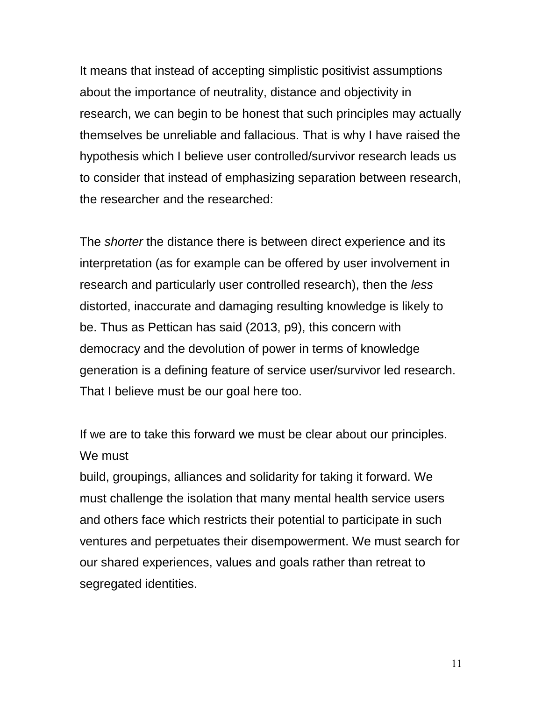It means that instead of accepting simplistic positivist assumptions about the importance of neutrality, distance and objectivity in research, we can begin to be honest that such principles may actually themselves be unreliable and fallacious. That is why I have raised the hypothesis which I believe user controlled/survivor research leads us to consider that instead of emphasizing separation between research, the researcher and the researched:

The *shorter* the distance there is between direct experience and its interpretation (as for example can be offered by user involvement in research and particularly user controlled research), then the *less* distorted, inaccurate and damaging resulting knowledge is likely to be. Thus as Pettican has said (2013, p9), this concern with democracy and the devolution of power in terms of knowledge generation is a defining feature of service user/survivor led research. That I believe must be our goal here too.

If we are to take this forward we must be clear about our principles. We must

build, groupings, alliances and solidarity for taking it forward. We must challenge the isolation that many mental health service users and others face which restricts their potential to participate in such ventures and perpetuates their disempowerment. We must search for our shared experiences, values and goals rather than retreat to segregated identities.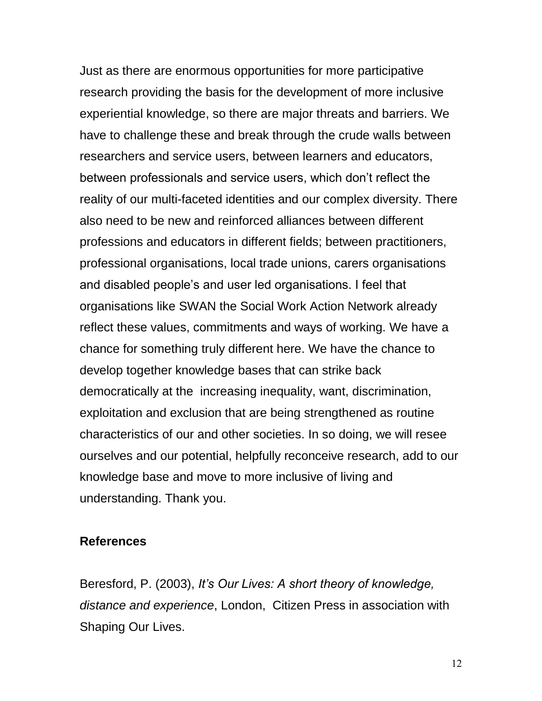Just as there are enormous opportunities for more participative research providing the basis for the development of more inclusive experiential knowledge, so there are major threats and barriers. We have to challenge these and break through the crude walls between researchers and service users, between learners and educators, between professionals and service users, which don't reflect the reality of our multi-faceted identities and our complex diversity. There also need to be new and reinforced alliances between different professions and educators in different fields; between practitioners, professional organisations, local trade unions, carers organisations and disabled people's and user led organisations. I feel that organisations like SWAN the Social Work Action Network already reflect these values, commitments and ways of working. We have a chance for something truly different here. We have the chance to develop together knowledge bases that can strike back democratically at the increasing inequality, want, discrimination, exploitation and exclusion that are being strengthened as routine characteristics of our and other societies. In so doing, we will resee ourselves and our potential, helpfully reconceive research, add to our knowledge base and move to more inclusive of living and understanding. Thank you.

#### **References**

Beresford, P. (2003), *It's Our Lives: A short theory of knowledge, distance and experience*, London, Citizen Press in association with Shaping Our Lives.